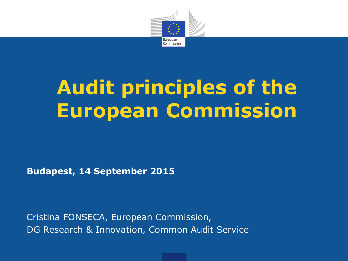

# **Audit principles of the European Commission**

**Budapest, 14 September 2015**

Cristina FONSECA, European Commission, DG Research & Innovation, Common Audit Service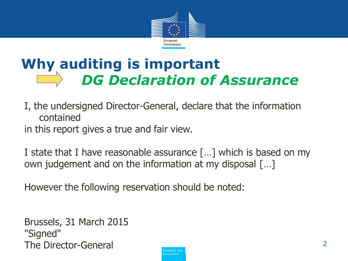

## **Why auditing is important** *DG Declaration of Assurance*

I, the undersigned Director-General, declare that the information contained

in this report gives a true and fair view.

I state that I have reasonable assurance […] which is based on my own judgement and on the information at my disposal […]

However the following reservation should be noted:

Brussels, 31 March 2015 "Signed" The Director-General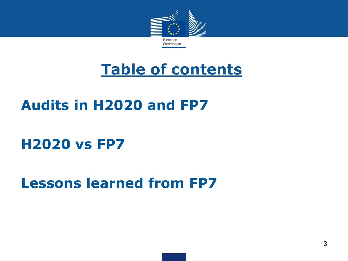

## **Table of contents**

## **Audits in H2020 and FP7**

### **H2020 vs FP7**

### **Lessons learned from FP7**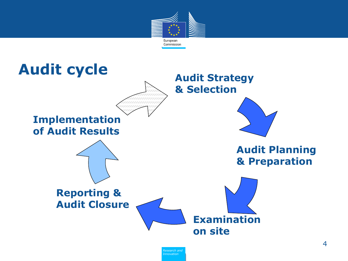

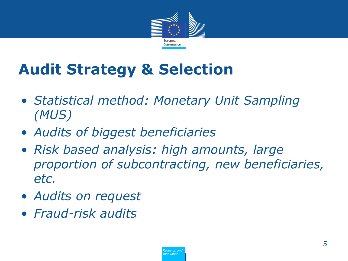

# **Audit Strategy & Selection**

- *Statistical method: Monetary Unit Sampling (MUS)*
- *Audits of biggest beneficiaries*
- *Risk based analysis: high amounts, large proportion of subcontracting, new beneficiaries, etc.*
- *Audits on request*
- *Fraud-risk audits*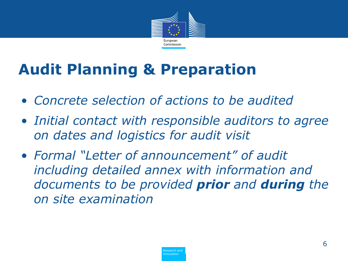

# **Audit Planning & Preparation**

- *Concrete selection of actions to be audited*
- *Initial contact with responsible auditors to agree on dates and logistics for audit visit*
- *Formal "Letter of announcement" of audit including detailed annex with information and documents to be provided prior and during the on site examination*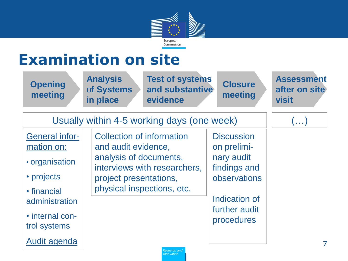

# **Examination on site**

| <b>Opening</b><br>meeting                                                                            | <b>Analysis</b><br><b>Test of systems</b><br>and substantive<br>of Systems<br>in place<br>evidence                                                                        | <b>Closure</b><br>meeting                                                                       | <b>Assessment</b><br>after on site<br><b>visit</b> |
|------------------------------------------------------------------------------------------------------|---------------------------------------------------------------------------------------------------------------------------------------------------------------------------|-------------------------------------------------------------------------------------------------|----------------------------------------------------|
|                                                                                                      | Usually within 4-5 working days (one week)                                                                                                                                |                                                                                                 | $(\ldots)$                                         |
| <b>General infor-</b><br>mation on:<br>• organisation<br>• projects<br>• financial<br>administration | <b>Collection of information</b><br>and audit evidence,<br>analysis of documents,<br>interviews with researchers,<br>project presentations,<br>physical inspections, etc. | <b>Discussion</b><br>on prelimi-<br>nary audit<br>findings and<br>observations<br>Indication of |                                                    |
| • internal con-<br>trol systems<br>Audit agenda                                                      |                                                                                                                                                                           | further audit<br>procedures                                                                     | 7                                                  |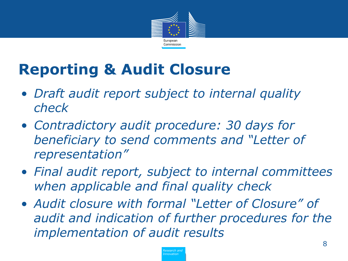

# **Reporting & Audit Closure**

- *Draft audit report subject to internal quality check*
- *Contradictory audit procedure: 30 days for beneficiary to send comments and "Letter of representation"*
- *Final audit report, subject to internal committees when applicable and final quality check*
- *Audit closure with formal "Letter of Closure" of audit and indication of further procedures for the implementation of audit results*

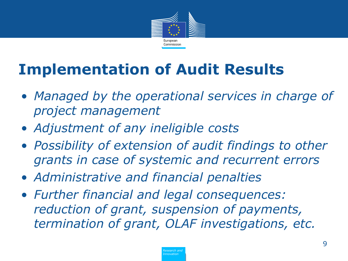

# **Implementation of Audit Results**

- *Managed by the operational services in charge of project management*
- *Adjustment of any ineligible costs*
- *Possibility of extension of audit findings to other grants in case of systemic and recurrent errors*
- *Administrative and financial penalties*
- *Further financial and legal consequences: reduction of grant, suspension of payments, termination of grant, OLAF investigations, etc.*

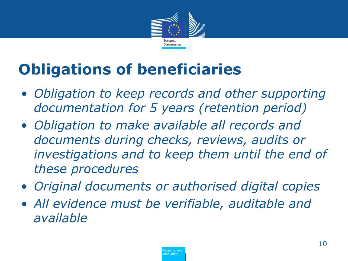

# **Obligations of beneficiaries**

- *Obligation to keep records and other supporting documentation for 5 years (retention period)*
- *Obligation to make available all records and documents during checks, reviews, audits or investigations and to keep them until the end of these procedures*
- *Original documents or authorised digital copies*
- *All evidence must be verifiable, auditable and available*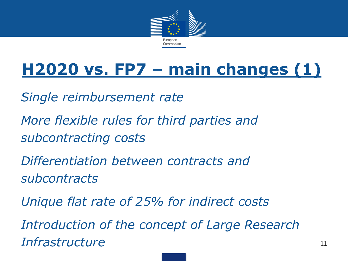

# **H2020 vs. FP7 – main changes (1)**

*Single reimbursement rate*

*More flexible rules for third parties and subcontracting costs*

*Differentiation between contracts and subcontracts*

*Unique flat rate of 25% for indirect costs* 

*Introduction of the concept of Large Research Infrastructure* <sup>11</sup>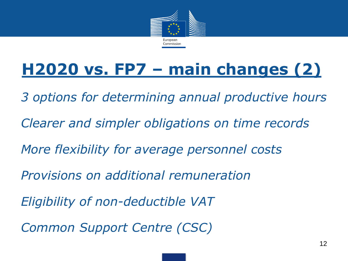

# **H2020 vs. FP7 – main changes (2)**

*3 options for determining annual productive hours Clearer and simpler obligations on time records More flexibility for average personnel costs Provisions on additional remuneration Eligibility of non-deductible VAT Common Support Centre (CSC)*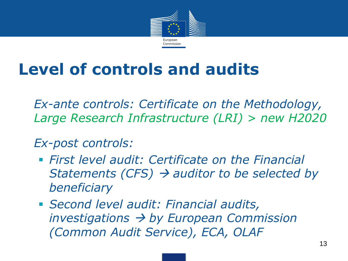

# **Level of controls and audits**

• *Ex-ante controls: Certificate on the Methodology, Large Research Infrastructure (LRI) > new H2020*

• *Ex-post controls:*

- *First level audit: Certificate on the Financial Statements (CFS) auditor to be selected by beneficiary*
- *Second level audit: Financial audits, investigations by European Commission (Common Audit Service), ECA, OLAF*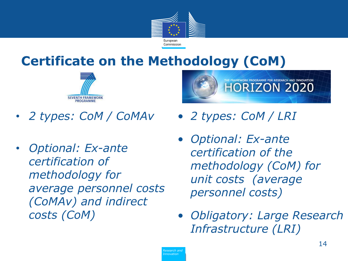

### **Certificate on the Methodology (CoM)**



- *2 types: CoM / CoMAv*
- *Optional: Ex-ante certification of methodology for average personnel costs (CoMAv) and indirect costs (CoM)*



- *2 types: CoM / LRI*
- *Optional: Ex-ante certification of the methodology (CoM) for unit costs (average personnel costs)*
- *Obligatory: Large Research Infrastructure (LRI)*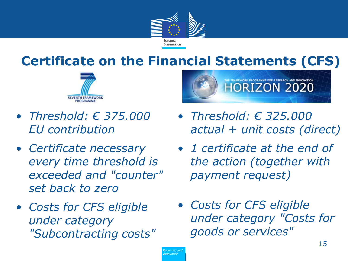

### **Certificate on the Financial Statements (CFS)**



- *Threshold: € 375.000 EU contribution*
- *Certificate necessary every time threshold is exceeded and "counter" set back to zero*
- *Costs for CFS eligible under category "Subcontracting costs"*



- *Threshold: € 325.000 actual + unit costs (direct)*
- *1 certificate at the end of the action (together with payment request)*
- *Costs for CFS eligible under category "Costs for goods or services"*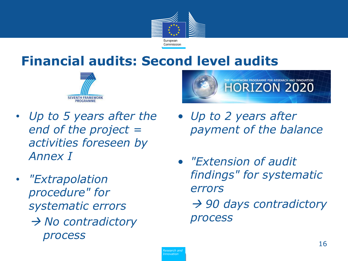

### **Financial audits: Second level audits**





- *Up to 5 years after the end of the project = activities foreseen by Annex I*
- *"Extrapolation procedure" for systematic errors* → *No contradictory process*
- *Up to 2 years after payment of the balance*
- *"Extension of audit findings" for systematic errors 90 days contradictory*

*process*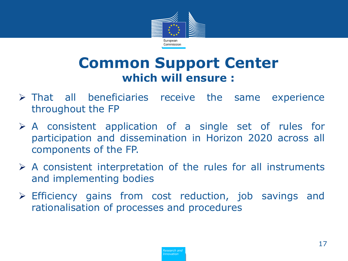

### **Common Support Center which will ensure :**

- $\triangleright$  That all beneficiaries receive the same experience throughout the FP
- $\triangleright$  A consistent application of a single set of rules for participation and dissemination in Horizon 2020 across all components of the FP.
- $\triangleright$  A consistent interpretation of the rules for all instruments and implementing bodies
- Efficiency gains from cost reduction, job savings and rationalisation of processes and procedures

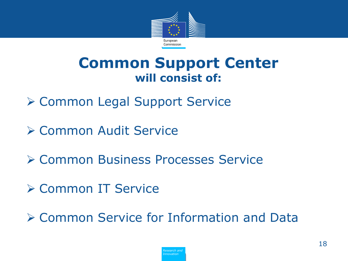

### **Common Support Center will consist of:**

- **≻ Common Legal Support Service**
- Common Audit Service
- **≻ Common Business Processes Service**
- Common IT Service
- Common Service for Information and Data

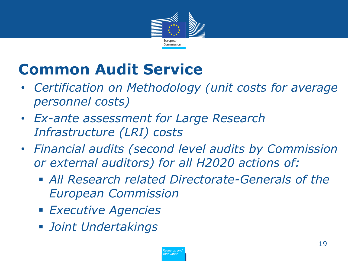

# **Common Audit Service**

- *Certification on Methodology (unit costs for average personnel costs)*
- *Ex-ante assessment for Large Research Infrastructure (LRI) costs*
- *Financial audits (second level audits by Commission or external auditors) for all H2020 actions of:*
	- *All Research related Directorate-Generals of the European Commission*
	- *Executive Agencies*
	- *Joint Undertakings*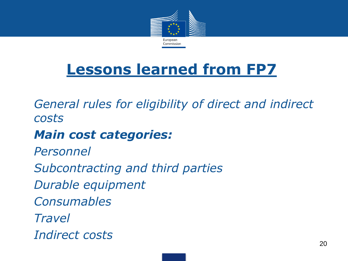

## **Lessons learned from FP7**

• *General rules for eligibility of direct and indirect costs*

### • *Main cost categories:*

• *Personnel* • *Subcontracting and third parties* • *Durable equipment* • *Consumables* • *Travel* • *Indirect costs*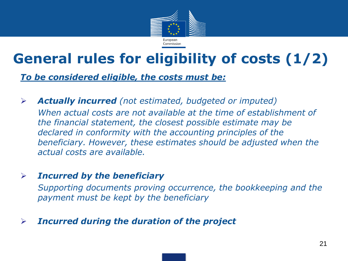

## **General rules for eligibility of costs (1/2)**

*To be considered eligible, the costs must be:*

 *Actually incurred (not estimated, budgeted or imputed) When actual costs are not available at the time of establishment of the financial statement, the closest possible estimate may be declared in conformity with the accounting principles of the beneficiary. However, these estimates should be adjusted when the actual costs are available.*

#### *Incurred by the beneficiary*

*Supporting documents proving occurrence, the bookkeeping and the payment must be kept by the beneficiary*

#### *Incurred during the duration of the project*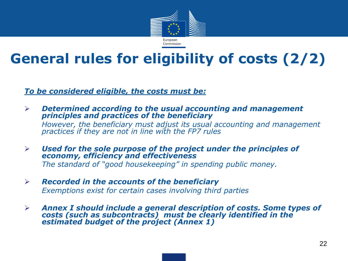

## **General rules for eligibility of costs (2/2)**

*To be considered eligible, the costs must be:*

- *Determined according to the usual accounting and management principles and practices of the beneficiary However, the beneficiary must adjust its usual accounting and management practices if they are not in line with the FP7 rules*
- *Used for the sole purpose of the project under the principles of economy, efficiency and effectiveness The standard of "good housekeeping" in spending public money.*
- *Recorded in the accounts of the beneficiary Exemptions exist for certain cases involving third parties*
- *Annex I should include a general description of costs. Some types of costs (such as subcontracts) must be clearly identified in the estimated budget of the project (Annex 1)*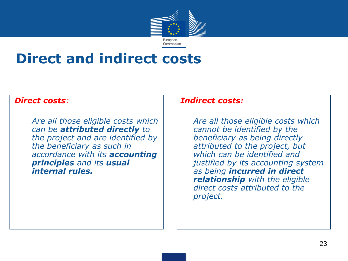

### **Direct and indirect costs**

#### *Direct costs:*

• *Are all those eligible costs which can be attributed directly to the project and are identified by the beneficiary as such in accordance with its accounting principles and its usual internal rules.* 

#### *Indirect costs:*

• *Are all those eligible costs which cannot be identified by the beneficiary as being directly attributed to the project, but which can be identified and justified by its accounting system as being incurred in direct relationship with the eligible direct costs attributed to the project.*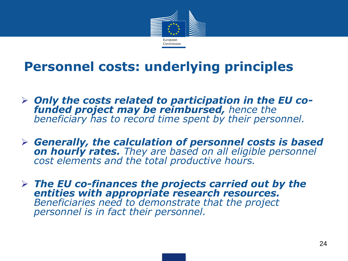

### **Personnel costs: underlying principles**

- *Only the costs related to participation in the EU cofunded project may be reimbursed, hence the beneficiary has to record time spent by their personnel.*
- *Generally, the calculation of personnel costs is based on hourly rates. They are based on all eligible personnel cost elements and the total productive hours.*
- *The EU co-finances the projects carried out by the entities with appropriate research resources. Beneficiaries need to demonstrate that the project personnel is in fact their personnel.*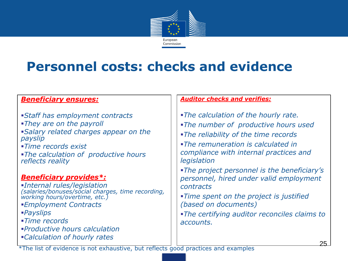

### **Personnel costs: checks and evidence**

#### *Beneficiary ensures:*

- *Staff has employment contracts They are on the payroll Salary related charges appear on the payslip Time records exist*
- *The calculation of productive hours reflects reality*

#### *Beneficiary provides\*:*

*Internal rules/legislation (salaries/bonuses/social charges, time recording, working hours/overtime, etc.) Employment Contracts Payslips Time records Productive hours calculation Calculation of hourly rates*

#### *Auditor checks and verifies:*

- *The calculation of the hourly rate. The number of productive hours used The reliability of the time records The remuneration is calculated in compliance with internal practices and legislation The project personnel is the beneficiary's personnel, hired under valid employment contracts Time spent on the project is justified (based on documents)*
- *The certifying auditor reconciles claims to accounts.*

\*The list of evidence is not exhaustive, but reflects good practices and examples  $\overline{\phantom{a}}$  25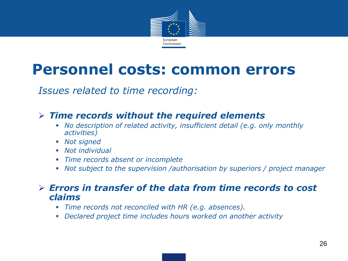

## **Personnel costs: common errors**

*Issues related to time recording:*

#### *Time records without the required elements*

- *No description of related activity, insufficient detail (e.g. only monthly activities)*
- *Not signed*
- *Not individual*
- *Time records absent or incomplete*
- *Not subject to the supervision /authorisation by superiors / project manager*

#### *Errors in transfer of the data from time records to cost claims*

- *Time records not reconciled with HR (e.g. absences).*
- *Declared project time includes hours worked on another activity*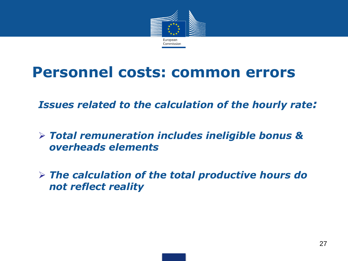

## **Personnel costs: common errors**

*Issues related to the calculation of the hourly rate:*

- *Total remuneration includes ineligible bonus & overheads elements*
- *The calculation of the total productive hours do not reflect reality*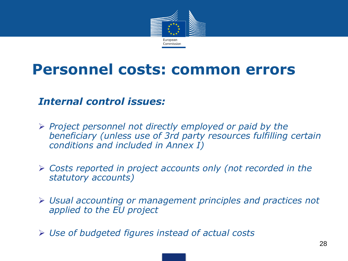

## **Personnel costs: common errors**

#### *Internal control issues:*

- *Project personnel not directly employed or paid by the beneficiary (unless use of 3rd party resources fulfilling certain conditions and included in Annex I)*
- *Costs reported in project accounts only (not recorded in the statutory accounts)*
- *Usual accounting or management principles and practices not applied to the EU project*
- *Use of budgeted figures instead of actual costs*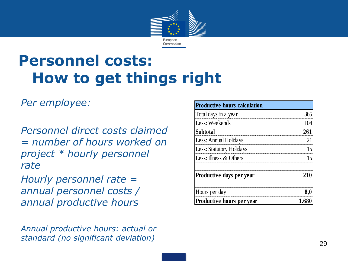

# **Personnel costs: How to get things right**

#### *Per employee:*

*Personnel direct costs claimed = number of hours worked on project \* hourly personnel rate*

*Hourly personnel rate = annual personnel costs / annual productive hours*

*Annual productive hours: actual or standard (no significant deviation)*

| <b>Productive hours calculation</b> |                  |
|-------------------------------------|------------------|
| Total days in a year                | 365              |
| Less: Weekends                      |                  |
| <b>Subtotal</b>                     |                  |
| Less: Annual Holidays               |                  |
| Less: Statutory Holidays            |                  |
| Less: Illness & Others              |                  |
| Productive days per year            |                  |
| Hours per day                       |                  |
| Productive hours per year           | 1.6 <sup>°</sup> |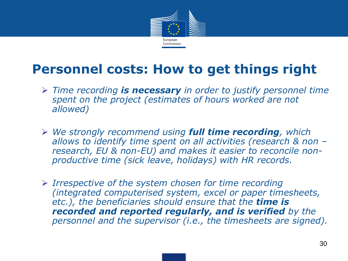

### **Personnel costs: How to get things right**

- *Time recording is necessary in order to justify personnel time*  spent on the project (estimates of hours worked are not *allowed)*
- *We strongly recommend using full time recording, which allows to identify time spent on all activities (research & non – research, EU & non-EU) and makes it easier to reconcile nonproductive time (sick leave, holidays) with HR records.*
- *Irrespective of the system chosen for time recording (integrated computerised system, excel or paper timesheets, etc.), the beneficiaries should ensure that the time is recorded and reported regularly, and is verified by the personnel and the supervisor (i.e., the timesheets are signed).*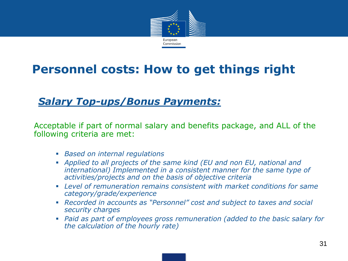

### **Personnel costs: How to get things right**

#### *Salary Top-ups/Bonus Payments:*

• Acceptable if part of normal salary and benefits package, and ALL of the following criteria are met:

- *Based on internal regulations*
- *Applied to all projects of the same kind (EU and non EU, national and international) Implemented in a consistent manner for the same type of activities/projects and on the basis of objective criteria*
- *Level of remuneration remains consistent with market conditions for same category/grade/experience*
- *Recorded in accounts as "Personnel" cost and subject to taxes and social security charges*
- *Paid as part of employees gross remuneration (added to the basic salary for the calculation of the hourly rate)*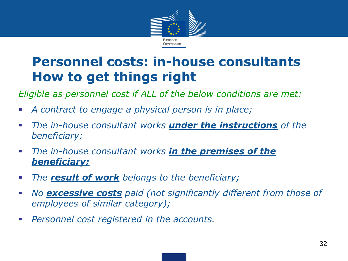

### **Personnel costs: in-house consultants How to get things right**

*Eligible as personnel cost if ALL of the below conditions are met:*

- *A contract to engage a physical person is in place;*
- *The in-house consultant works under the instructions of the beneficiary;*
- *The in-house consultant works in the premises of the beneficiary;*
- *The result of work belongs to the beneficiary;*
- *No excessive costs paid (not significantly different from those of employees of similar category);*
- *Personnel cost registered in the accounts.*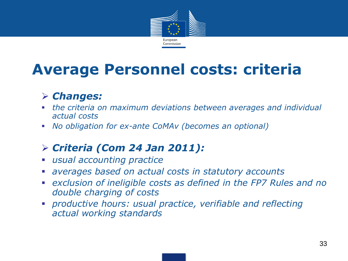

## **Average Personnel costs: criteria**

### *Changes:*

- *the criteria on maximum deviations between averages and individual actual costs*
- *No obligation for ex-ante CoMAv (becomes an optional)*

### *Criteria (Com 24 Jan 2011):*

- *usual accounting practice*
- *averages based on actual costs in statutory accounts*
- *exclusion of ineligible costs as defined in the FP7 Rules and no double charging of costs*
- *productive hours: usual practice, verifiable and reflecting actual working standards*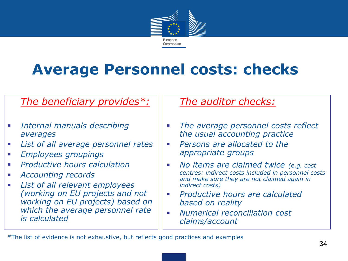

## **Average Personnel costs: checks**

#### • *The beneficiary provides\*:*

- *Internal manuals describing averages*
- *List of all average personnel rates*
- *Employees groupings*
- *Productive hours calculation*
- *Accounting records*
- *List of all relevant employees (working on EU projects and not working on EU projects) based on which the average personnel rate is calculated*

#### • *The auditor checks:*

- *The average personnel costs reflect the usual accounting practice*
- *Persons are allocated to the appropriate groups*
- *No items are claimed twice (e.g. cost centres: indirect costs included in personnel costs and make sure they are not claimed again in indirect costs)*
- *Productive hours are calculated based on reality*
- *Numerical reconciliation cost claims/account*

\*The list of evidence is not exhaustive, but reflects good practices and examples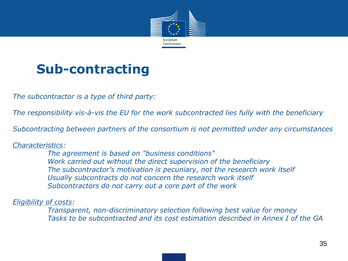

### **Sub-contracting**

*The subcontractor is a type of third party:*

*The responsibility vis-à-vis the EU for the work subcontracted lies fully with the beneficiary*

*Subcontracting between partners of the consortium is not permitted under any circumstances*

#### *Characteristics:*

*The agreement is based on "business conditions" Work carried out without the direct supervision of the beneficiary The subcontractor's motivation is pecuniary, not the research work itself Usually subcontracts do not concern the research work itself Subcontractors do not carry out a core part of the work*

#### *Eligibility of costs:*

*Transparent, non-discriminatory selection following best value for money Tasks to be subcontracted and its cost estimation described in Annex I of the GA*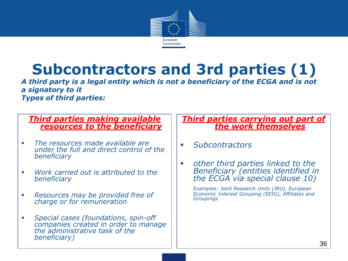

## **Subcontractors and 3rd parties (1)**

*A third party is a legal entity which is not a beneficiary of the ECGA and is not a signatory to it Types of third parties:*

#### *Third parties making available resources to the beneficiary*

- *The resources made available are under the full and direct control of the beneficiary*
- *Work carried out is attributed to the beneficiary*
- *Resources may be provided free of charge or for remuneration*
- *Special cases (foundations, spin-off companies created in order to manage the administrative task of the beneficiary)*

#### *Third parties carrying out part of the work themselves*

- *Subcontractors*
- *other third parties linked to the Beneficiary (entities identified in the ECGA via special clause 10)*

*Examples: Joint Research Units (JRU), European Economic Interest Grouping (EEIG), Affiliates and Groupings*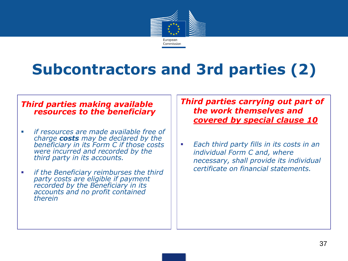

# **Subcontractors and 3rd parties (2)**

#### *Third parties making available resources to the beneficiary*

- *if resources are made available free of charge costs may be declared by the beneficiary in its Form C if those costs*  were incurred and recorded by the *third party in its accounts.*
- *if the Beneficiary reimburses the third party costs are eligible if payment recorded by the Beneficiary in its accounts and no profit contained therein*

*Third parties carrying out part of the work themselves and covered by special clause 10*

 *Each third party fills in its costs in an individual Form C and, where necessary, shall provide its individual certificate on financial statements.*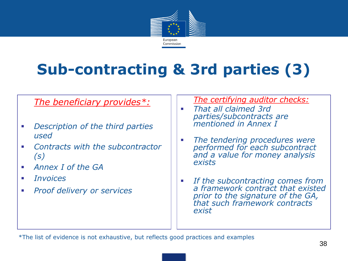

# **Sub-contracting & 3rd parties (3)**

#### • *The beneficiary provides\*:*

- *Description of the third parties used*
- *Contracts with the subcontractor (s)*
- *Annex I of the GA*
- *Invoices*
- *Proof delivery or services*

• *The certifying auditor checks:*

- *That all claimed 3rd parties/subcontracts are mentioned in Annex I*
- *The tendering procedures were performed for each subcontract and a value for money analysis exists*
- *If the subcontracting comes from a framework contract that existed prior to the signature of the GA, that such framework contracts exist*

\*The list of evidence is not exhaustive, but reflects good practices and examples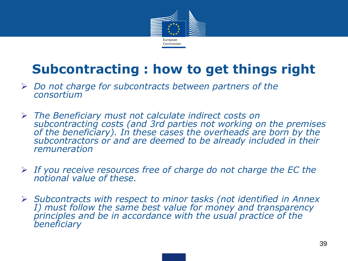

## **Subcontracting : how to get things right**

- *Do not charge for subcontracts between partners of the consortium*
- *The Beneficiary must not calculate indirect costs on subcontracting costs (and 3rd parties not working on the premises of the beneficiary). In these cases the overheads are born by the subcontractors or and are deemed to be already included in their remuneration*
- *If you receive resources free of charge do not charge the EC the notional value of these.*
- *Subcontracts with respect to minor tasks (not identified in Annex I) must follow the same best value for money and transparency principles and be in accordance with the usual practice of the beneficiary*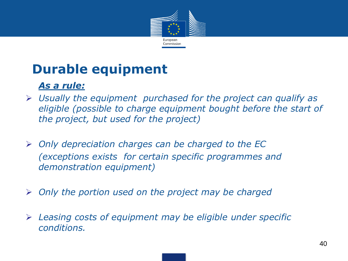

### **Durable equipment**

#### • *As a rule:*

- *Usually the equipment purchased for the project can qualify as eligible (possible to charge equipment bought before the start of the project, but used for the project)*
- *Only depreciation charges can be charged to the EC (exceptions exists for certain specific programmes and demonstration equipment)*
- *Only the portion used on the project may be charged*
- *Leasing costs of equipment may be eligible under specific conditions.*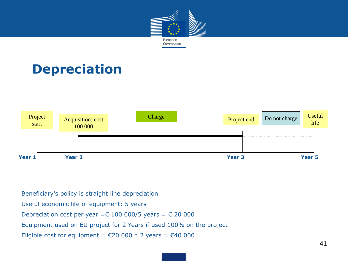

### **Depreciation**



Beneficiary's policy is straight line depreciation

Useful economic life of equipment: 5 years

Depreciation cost per year =  $\epsilon$  100 000/5 years =  $\epsilon$  20 000

Equipment used on EU project for 2 Years if used 100% on the project

Eligible cost for equipment =  $\epsilon$ 20 000 \* 2 years =  $\epsilon$ 40 000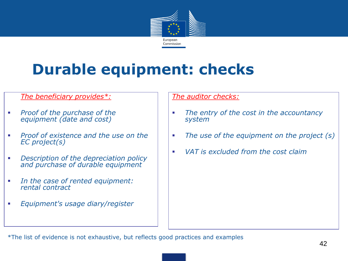

# **Durable equipment: checks**

#### • *The beneficiary provides\*:*

- *Proof of the purchase of the equipment (date and cost)*
- *Proof of existence and the use on the EC project(s)*
- *Description of the depreciation policy and purchase of durable equipment*
- *In the case of rented equipment: rental contract*
- *Equipment's usage diary/register*

#### *The auditor checks:*

- *The entry of the cost in the accountancy system*
- *The use of the equipment on the project (s)*
- *VAT is excluded from the cost claim*

\*The list of evidence is not exhaustive, but reflects good practices and examples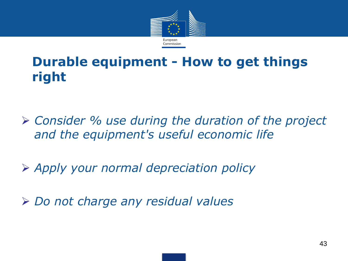

### **Durable equipment - How to get things right**

 *Consider % use during the duration of the project and the equipment's useful economic life*

*Apply your normal depreciation policy*

*Do not charge any residual values*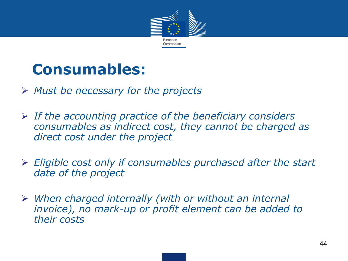

## **Consumables:**

- *Must be necessary for the projects*
- *If the accounting practice of the beneficiary considers consumables as indirect cost, they cannot be charged as direct cost under the project*
- *Eligible cost only if consumables purchased after the start date of the project*
- *When charged internally (with or without an internal invoice), no mark-up or profit element can be added to their costs*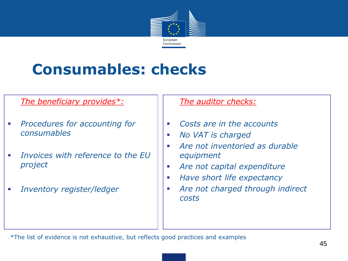

# **Consumables: checks**

#### • *The beneficiary provides\*:*

- *Procedures for accounting for consumables*
- *Invoices with reference to the EU project*
- *Inventory register/ledger*

#### • *The auditor checks:*

- *Costs are in the accounts*
- *No VAT is charged*
- *Are not inventoried as durable equipment*
- *Are not capital expenditure*
- *Have short life expectancy*
- *Are not charged through indirect costs*

\*The list of evidence is not exhaustive, but reflects good practices and examples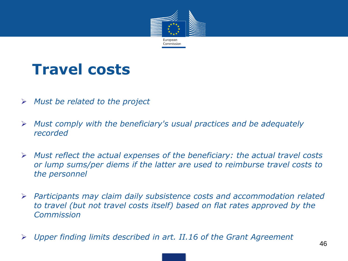

## **Travel costs**

- *Must be related to the project*
- *Must comply with the beneficiary's usual practices and be adequately recorded*
- *Must reflect the actual expenses of the beneficiary: the actual travel costs or lump sums/per diems if the latter are used to reimburse travel costs to the personnel*
- *Participants may claim daily subsistence costs and accommodation related to travel (but not travel costs itself) based on flat rates approved by the Commission*
- *Upper finding limits described in art. II.16 of the Grant Agreement*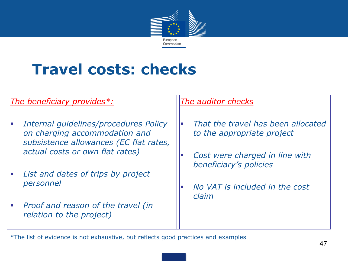

## **Travel costs: checks**

#### *The beneficiary provides\*:*

- *Internal guidelines/procedures Policy on charging accommodation and subsistence allowances (EC flat rates, actual costs or own flat rates)*
- *List and dates of trips by project personnel*
- *Proof and reason of the travel (in relation to the project)*

#### *The auditor checks*

- *That the travel has been allocated to the appropriate project*
- *Cost were charged in line with beneficiary's policies*
- *No VAT is included in the cost claim*

\*The list of evidence is not exhaustive, but reflects good practices and examples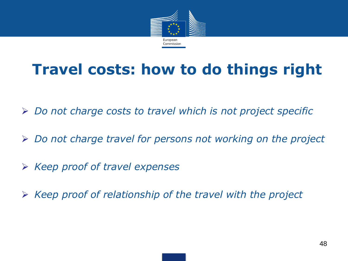

## **Travel costs: how to do things right**

- *Do not charge costs to travel which is not project specific*
- *Do not charge travel for persons not working on the project*
- *Keep proof of travel expenses*
- *Keep proof of relationship of the travel with the project*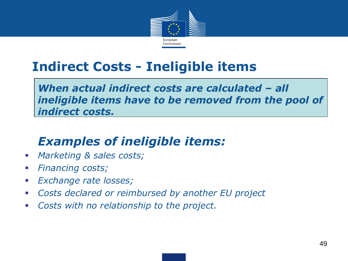

### **Indirect Costs - Ineligible items**

*When actual indirect costs are calculated – all ineligible items have to be removed from the pool of indirect costs.*

### *Examples of ineligible items:*

- *Marketing & sales costs;*
- *Financing costs;*
- *Exchange rate losses;*
- *Costs declared or reimbursed by another EU project*
- *Costs with no relationship to the project.*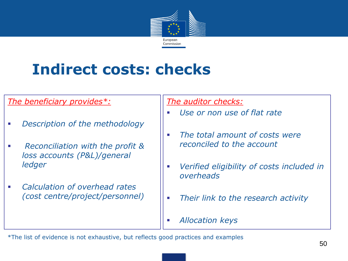

# **Indirect costs: checks**

#### *The beneficiary provides\*:*

- *Description of the methodology*
- *Reconciliation with the profit & loss accounts (P&L)/general ledger*
- *Calculation of overhead rates (cost centre/project/personnel)*

*The auditor checks:*

- *Use or non use of flat rate*
- *The total amount of costs were reconciled to the account*
- *Verified eligibility of costs included in overheads*
- *Their link to the research activity*
- *Allocation keys*

\*The list of evidence is not exhaustive, but reflects good practices and examples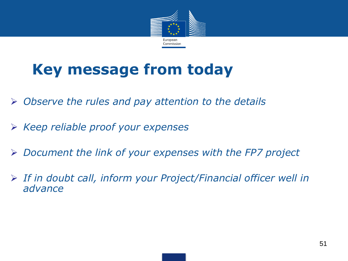

# **Key message from today**

- *Observe the rules and pay attention to the details*
- *Keep reliable proof your expenses*
- *Document the link of your expenses with the FP7 project*
- *If in doubt call, inform your Project/Financial officer well in advance*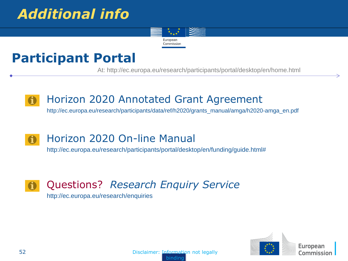### *Additional info*



### **Participant Portal**

At: http://ec.europa.eu/research/participants/portal/desktop/en/home.html

### Horizon 2020 Annotated Grant Agreement

http://ec.europa.eu/research/participants/data/ref/h2020/grants\_manual/amga/h2020-amga\_en.pdf

#### Horizon 2020 On-line Manual  $\mathbf \Omega$

http://ec.europa.eu/research/participants/portal/desktop/en/funding/guide.html#

#### Questions? *Research Enquiry Service*   $\blacksquare$

http://ec.europa.eu/research/enquiries